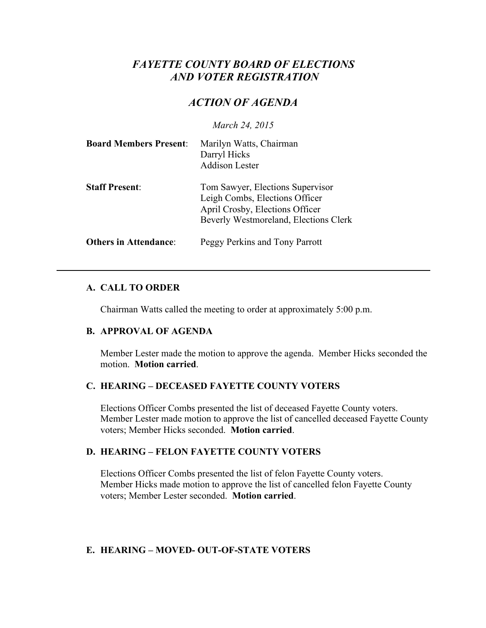# *FAYETTE COUNTY BOARD OF ELECTIONS AND VOTER REGISTRATION*

# *ACTION OF AGENDA*

*March 24, 2015*

| <b>Board Members Present:</b> | Marilyn Watts, Chairman<br>Darryl Hicks<br><b>Addison Lester</b>                                                                               |
|-------------------------------|------------------------------------------------------------------------------------------------------------------------------------------------|
| <b>Staff Present:</b>         | Tom Sawyer, Elections Supervisor<br>Leigh Combs, Elections Officer<br>April Crosby, Elections Officer<br>Beverly Westmoreland, Elections Clerk |
| <b>Others in Attendance:</b>  | Peggy Perkins and Tony Parrott                                                                                                                 |

## **A. CALL TO ORDER**

Chairman Watts called the meeting to order at approximately 5:00 p.m.

## **B. APPROVAL OF AGENDA**

Member Lester made the motion to approve the agenda. Member Hicks seconded the motion. **Motion carried**.

## **C. HEARING – DECEASED FAYETTE COUNTY VOTERS**

Elections Officer Combs presented the list of deceased Fayette County voters. Member Lester made motion to approve the list of cancelled deceased Fayette County voters; Member Hicks seconded. **Motion carried**.

## **D. HEARING – FELON FAYETTE COUNTY VOTERS**

Elections Officer Combs presented the list of felon Fayette County voters. Member Hicks made motion to approve the list of cancelled felon Fayette County voters; Member Lester seconded. **Motion carried**.

## **E. HEARING – MOVED- OUT-OF-STATE VOTERS**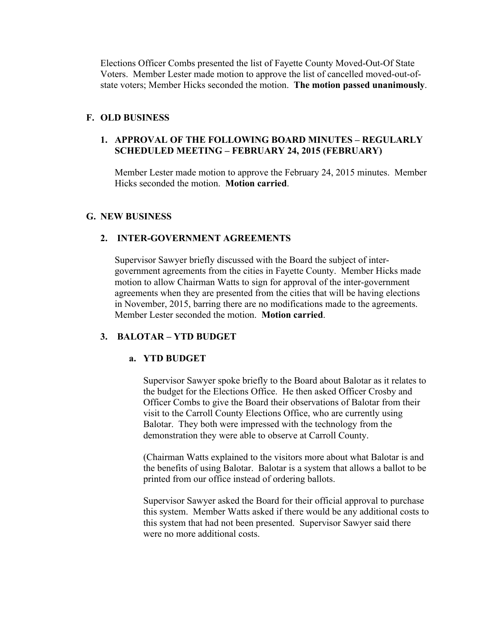Elections Officer Combs presented the list of Fayette County Moved-Out-Of State Voters. Member Lester made motion to approve the list of cancelled moved-out-ofstate voters; Member Hicks seconded the motion. **The motion passed unanimously**.

## **F. OLD BUSINESS**

## **1. APPROVAL OF THE FOLLOWING BOARD MINUTES – REGULARLY SCHEDULED MEETING – FEBRUARY 24, 2015 (FEBRUARY)**

Member Lester made motion to approve the February 24, 2015 minutes. Member Hicks seconded the motion. **Motion carried**.

## **G. NEW BUSINESS**

## **2. INTER-GOVERNMENT AGREEMENTS**

Supervisor Sawyer briefly discussed with the Board the subject of intergovernment agreements from the cities in Fayette County. Member Hicks made motion to allow Chairman Watts to sign for approval of the inter-government agreements when they are presented from the cities that will be having elections in November, 2015, barring there are no modifications made to the agreements. Member Lester seconded the motion. **Motion carried**.

## **3. BALOTAR – YTD BUDGET**

## **a. YTD BUDGET**

Supervisor Sawyer spoke briefly to the Board about Balotar as it relates to the budget for the Elections Office. He then asked Officer Crosby and Officer Combs to give the Board their observations of Balotar from their visit to the Carroll County Elections Office, who are currently using Balotar. They both were impressed with the technology from the demonstration they were able to observe at Carroll County.

(Chairman Watts explained to the visitors more about what Balotar is and the benefits of using Balotar. Balotar is a system that allows a ballot to be printed from our office instead of ordering ballots.

Supervisor Sawyer asked the Board for their official approval to purchase this system. Member Watts asked if there would be any additional costs to this system that had not been presented. Supervisor Sawyer said there were no more additional costs.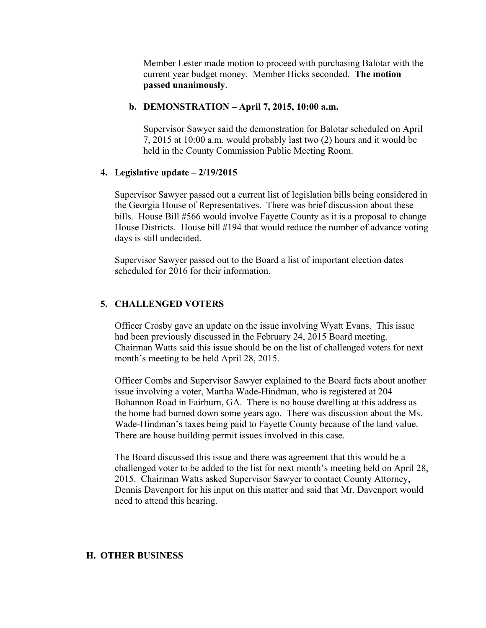Member Lester made motion to proceed with purchasing Balotar with the current year budget money. Member Hicks seconded. **The motion passed unanimously**.

#### **b. DEMONSTRATION – April 7, 2015, 10:00 a.m.**

Supervisor Sawyer said the demonstration for Balotar scheduled on April 7, 2015 at 10:00 a.m. would probably last two (2) hours and it would be held in the County Commission Public Meeting Room.

#### **4. Legislative update – 2/19/2015**

Supervisor Sawyer passed out a current list of legislation bills being considered in the Georgia House of Representatives. There was brief discussion about these bills. House Bill #566 would involve Fayette County as it is a proposal to change House Districts. House bill #194 that would reduce the number of advance voting days is still undecided.

Supervisor Sawyer passed out to the Board a list of important election dates scheduled for 2016 for their information.

## **5. CHALLENGED VOTERS**

Officer Crosby gave an update on the issue involving Wyatt Evans. This issue had been previously discussed in the February 24, 2015 Board meeting. Chairman Watts said this issue should be on the list of challenged voters for next month's meeting to be held April 28, 2015.

Officer Combs and Supervisor Sawyer explained to the Board facts about another issue involving a voter, Martha Wade-Hindman, who is registered at 204 Bohannon Road in Fairburn, GA. There is no house dwelling at this address as the home had burned down some years ago. There was discussion about the Ms. Wade-Hindman's taxes being paid to Fayette County because of the land value. There are house building permit issues involved in this case.

The Board discussed this issue and there was agreement that this would be a challenged voter to be added to the list for next month's meeting held on April 28, 2015. Chairman Watts asked Supervisor Sawyer to contact County Attorney, Dennis Davenport for his input on this matter and said that Mr. Davenport would need to attend this hearing.

#### **H. OTHER BUSINESS**